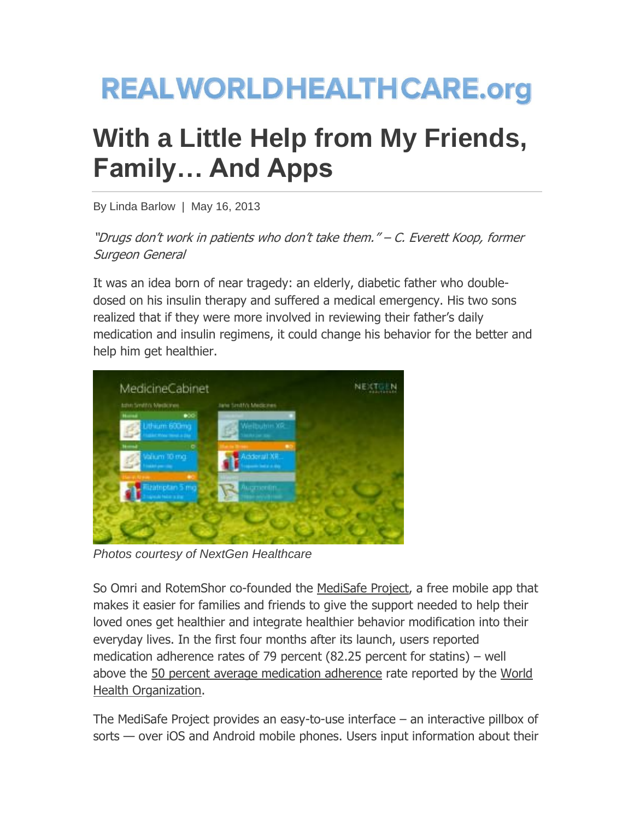## **REALWORLDHEALTHCARE.org**

## **With a Little Help from My Friends, Family… And Apps**

By Linda Barlow | May 16, 2013

"Drugs don't work in patients who don't take them." – C. Everett Koop, former Surgeon General

It was an idea born of near tragedy: an elderly, diabetic father who doubledosed on his insulin therapy and suffered a medical emergency. His two sons realized that if they were more involved in reviewing their father's daily medication and insulin regimens, it could change his behavior for the better and help him get healthier.



*Photos courtesy of NextGen Healthcare*

So Omri and RotemShor co-founded the [MediSafe Project,](http://www.medisafeproject.com/) a free mobile app that makes it easier for families and friends to give the support needed to help their loved ones get healthier and integrate healthier behavior modification into their everyday lives. In the first four months after its launch, users reported medication adherence rates of 79 percent (82.25 percent for statins) – well above the [50 percent average medication adherence](http://www.ncbi.nlm.nih.gov/pmc/articles/PMC3068890/) rate reported by the [World](http://www.who.int/)  [Health Organization.](http://www.who.int/)

The MediSafe Project provides an easy-to-use interface – an interactive pillbox of sorts — over iOS and Android mobile phones. Users input information about their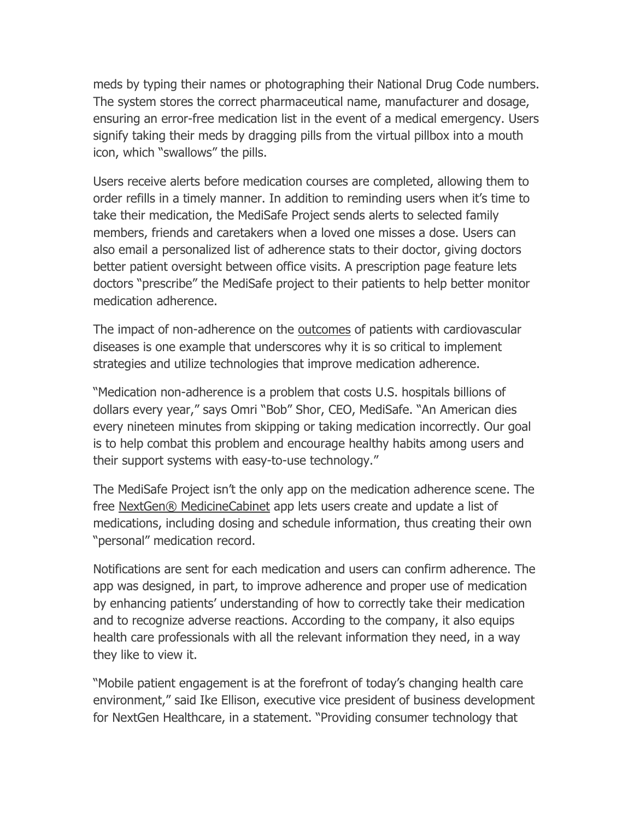meds by typing their names or photographing their National Drug Code numbers. The system stores the correct pharmaceutical name, manufacturer and dosage, ensuring an error-free medication list in the event of a medical emergency. Users signify taking their meds by dragging pills from the virtual pillbox into a mouth icon, which "swallows" the pills.

Users receive alerts before medication courses are completed, allowing them to order refills in a timely manner. In addition to reminding users when it's time to take their medication, the MediSafe Project sends alerts to selected family members, friends and caretakers when a loved one misses a dose. Users can also email a personalized list of adherence stats to their doctor, giving doctors better patient oversight between office visits. A prescription page feature lets doctors "prescribe" the MediSafe project to their patients to help better monitor medication adherence.

The impact of non-adherence on the [outcomes](http://circ.ahajournals.org/content/119/23/3028.full) of patients with cardiovascular diseases is one example that underscores why it is so critical to implement strategies and utilize technologies that improve medication adherence.

"Medication non-adherence is a problem that costs U.S. hospitals billions of dollars every year," says Omri "Bob" Shor, CEO, MediSafe. "An American dies every nineteen minutes from skipping or taking medication incorrectly. Our goal is to help combat this problem and encourage healthy habits among users and their support systems with easy-to-use technology."

The MediSafe Project isn't the only app on the medication adherence scene. The free [NextGen® MedicineCabinet](http://apps.microsoft.com/windows/en-us/app/medicinecabinet/223107a6-b444-4991-8b9f-2da924136010) app lets users create and update a list of medications, including dosing and schedule information, thus creating their own ―personal‖ medication record.

Notifications are sent for each medication and users can confirm adherence. The app was designed, in part, to improve adherence and proper use of medication by enhancing patients' understanding of how to correctly take their medication and to recognize adverse reactions. According to the company, it also equips health care professionals with all the relevant information they need, in a way they like to view it.

"Mobile patient engagement is at the forefront of today's changing health care environment," said Ike Ellison, executive vice president of business development for NextGen Healthcare, in a statement. "Providing consumer technology that